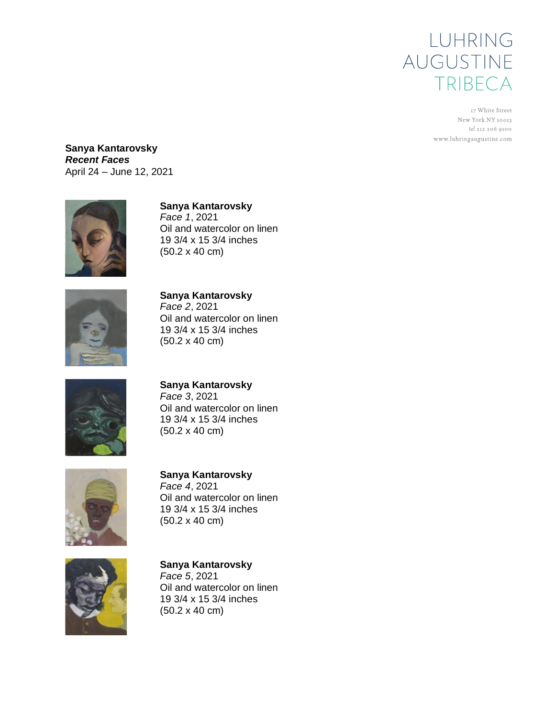

17 White Street New York NY 10013 tel 212 206 9100 www.luhringaugustine.com

**Sanya Kantarovsky** *Recent Faces* April 24 – June 12, 2021



## **Sanya Kantarovsky**

*Face 1*, 2021 Oil and watercolor on linen 19 3/4 x 15 3/4 inches (50.2 x 40 cm)



**Sanya Kantarovsky** *Face 2*, 2021 Oil and watercolor on linen 19 3/4 x 15 3/4 inches (50.2 x 40 cm)



**Sanya Kantarovsky** *Face 3*, 2021 Oil and watercolor on linen 19 3/4 x 15 3/4 inches

(50.2 x 40 cm)



**Sanya Kantarovsky** *Face 4*, 2021 Oil and watercolor on linen 19 3/4 x 15 3/4 inches (50.2 x 40 cm)



**Sanya Kantarovsky** *Face 5*, 2021 Oil and watercolor on linen 19 3/4 x 15 3/4 inches (50.2 x 40 cm)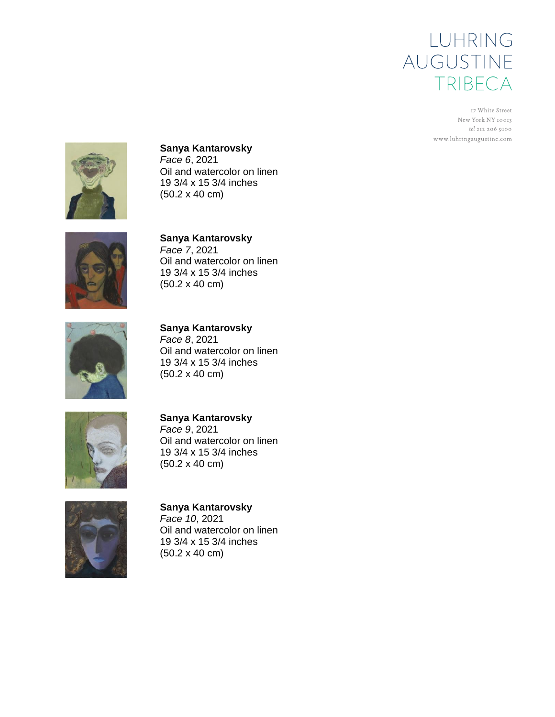## LUHRING AUGUSTINE TRIBECA

17 White Street New York NY 10013 tel 212 206 9100 www.luhringaugustine.com



**Sanya Kantarovsky** *Face 6*, 2021 Oil and watercolor on linen 19 3/4 x 15 3/4 inches (50.2 x 40 cm)



**Sanya Kantarovsky** *Face 7*, 2021 Oil and watercolor on linen 19 3/4 x 15 3/4 inches (50.2 x 40 cm)



**Sanya Kantarovsky** *Face 8*, 2021 Oil and watercolor on linen 19 3/4 x 15 3/4 inches (50.2 x 40 cm)



**Sanya Kantarovsky** *Face 9*, 2021 Oil and watercolor on linen 19 3/4 x 15 3/4 inches (50.2 x 40 cm)



**Sanya Kantarovsky** *Face 10*, 2021 Oil and watercolor on linen 19 3/4 x 15 3/4 inches (50.2 x 40 cm)